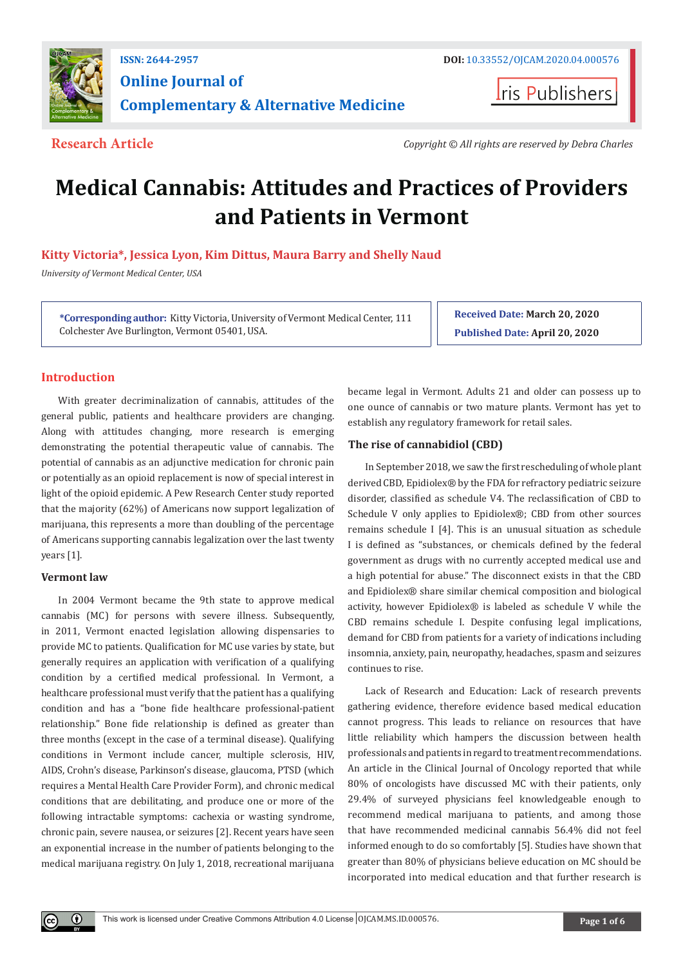

# **Online Journal of Complementary & Alternative Medicine**

**Iris Publishers** 

**Research Article** *Copyright © All rights are reserved by Debra Charles*

# **Medical Cannabis: Attitudes and Practices of Providers and Patients in Vermont**

**Kitty Victoria\*, Jessica Lyon, Kim Dittus, Maura Barry and Shelly Naud**

*University of Vermont Medical Center, USA*

**\*Corresponding author:** Kitty Victoria, University of Vermont Medical Center, 111 Colchester Ave Burlington, Vermont 05401, USA.

**Received Date: March 20, 2020 Published Date: April 20, 2020**

# **Introduction**

With greater decriminalization of cannabis, attitudes of the general public, patients and healthcare providers are changing. Along with attitudes changing, more research is emerging demonstrating the potential therapeutic value of cannabis. The potential of cannabis as an adjunctive medication for chronic pain or potentially as an opioid replacement is now of special interest in light of the opioid epidemic. A Pew Research Center study reported that the majority (62%) of Americans now support legalization of marijuana, this represents a more than doubling of the percentage of Americans supporting cannabis legalization over the last twenty years [1].

# **Vermont law**

 $\bf \odot$ 

In 2004 Vermont became the 9th state to approve medical cannabis (MC) for persons with severe illness. Subsequently, in 2011, Vermont enacted legislation allowing dispensaries to provide MC to patients. Qualification for MC use varies by state, but generally requires an application with verification of a qualifying condition by a certified medical professional. In Vermont, a healthcare professional must verify that the patient has a qualifying condition and has a "bone fide healthcare professional-patient relationship." Bone fide relationship is defined as greater than three months (except in the case of a terminal disease). Qualifying conditions in Vermont include cancer, multiple sclerosis, HIV, AIDS, Crohn's disease, Parkinson's disease, glaucoma, PTSD (which requires a Mental Health Care Provider Form), and chronic medical conditions that are debilitating, and produce one or more of the following intractable symptoms: cachexia or wasting syndrome, chronic pain, severe nausea, or seizures [2]. Recent years have seen an exponential increase in the number of patients belonging to the medical marijuana registry. On July 1, 2018, recreational marijuana

became legal in Vermont. Adults 21 and older can possess up to one ounce of cannabis or two mature plants. Vermont has yet to establish any regulatory framework for retail sales.

# **The rise of cannabidiol (CBD)**

In September 2018, we saw the first rescheduling of whole plant derived CBD, Epidiolex® by the FDA for refractory pediatric seizure disorder, classified as schedule V4. The reclassification of CBD to Schedule V only applies to Epidiolex®; CBD from other sources remains schedule I [4]. This is an unusual situation as schedule I is defined as "substances, or chemicals defined by the federal government as drugs with no currently accepted medical use and a high potential for abuse." The disconnect exists in that the CBD and Epidiolex® share similar chemical composition and biological activity, however Epidiolex® is labeled as schedule V while the CBD remains schedule I. Despite confusing legal implications, demand for CBD from patients for a variety of indications including insomnia, anxiety, pain, neuropathy, headaches, spasm and seizures continues to rise.

Lack of Research and Education: Lack of research prevents gathering evidence, therefore evidence based medical education cannot progress. This leads to reliance on resources that have little reliability which hampers the discussion between health professionals and patients in regard to treatment recommendations. An article in the Clinical Journal of Oncology reported that while 80% of oncologists have discussed MC with their patients, only 29.4% of surveyed physicians feel knowledgeable enough to recommend medical marijuana to patients, and among those that have recommended medicinal cannabis 56.4% did not feel informed enough to do so comfortably [5]. Studies have shown that greater than 80% of physicians believe education on MC should be incorporated into medical education and that further research is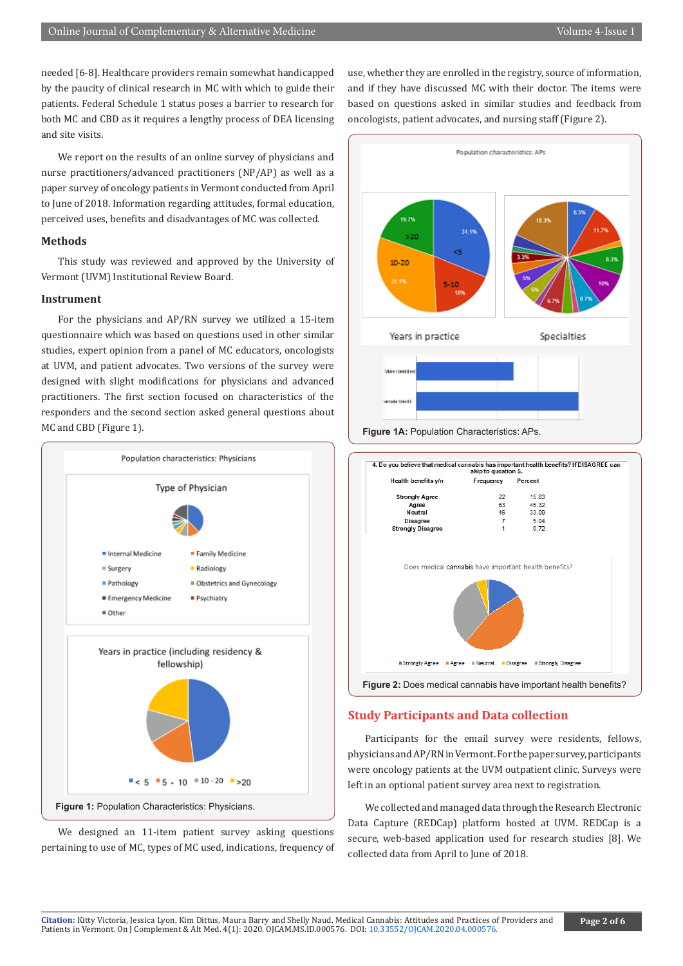needed [6-8]. Healthcare providers remain somewhat handicapped by the paucity of clinical research in MC with which to guide their patients. Federal Schedule 1 status poses a barrier to research for both MC and CBD as it requires a lengthy process of DEA licensing and site visits.

We report on the results of an online survey of physicians and nurse practitioners/advanced practitioners (NP/AP) as well as a paper survey of oncology patients in Vermont conducted from April to June of 2018. Information regarding attitudes, formal education, perceived uses, benefits and disadvantages of MC was collected.

#### **Methods**

This study was reviewed and approved by the University of Vermont (UVM) Institutional Review Board.

#### **Instrument**

For the physicians and AP/RN survey we utilized a 15-item questionnaire which was based on questions used in other similar studies, expert opinion from a panel of MC educators, oncologists at UVM, and patient advocates. Two versions of the survey were designed with slight modifications for physicians and advanced practitioners. The first section focused on characteristics of the responders and the second section asked general questions about MC and CBD (Figure 1).



We designed an 11-item patient survey asking questions pertaining to use of MC, types of MC used, indications, frequency of use, whether they are enrolled in the registry, source of information, and if they have discussed MC with their doctor. The items were based on questions asked in similar studies and feedback from oncologists, patient advocates, and nursing staff (Figure 2).





#### **Study Participants and Data collection**

Participants for the email survey were residents, fellows, physicians and AP/RN in Vermont. For the paper survey, participants were oncology patients at the UVM outpatient clinic. Surveys were left in an optional patient survey area next to registration.

We collected and managed data through the Research Electronic Data Capture (REDCap) platform hosted at UVM. REDCap is a secure, web-based application used for research studies [8]. We collected data from April to June of 2018.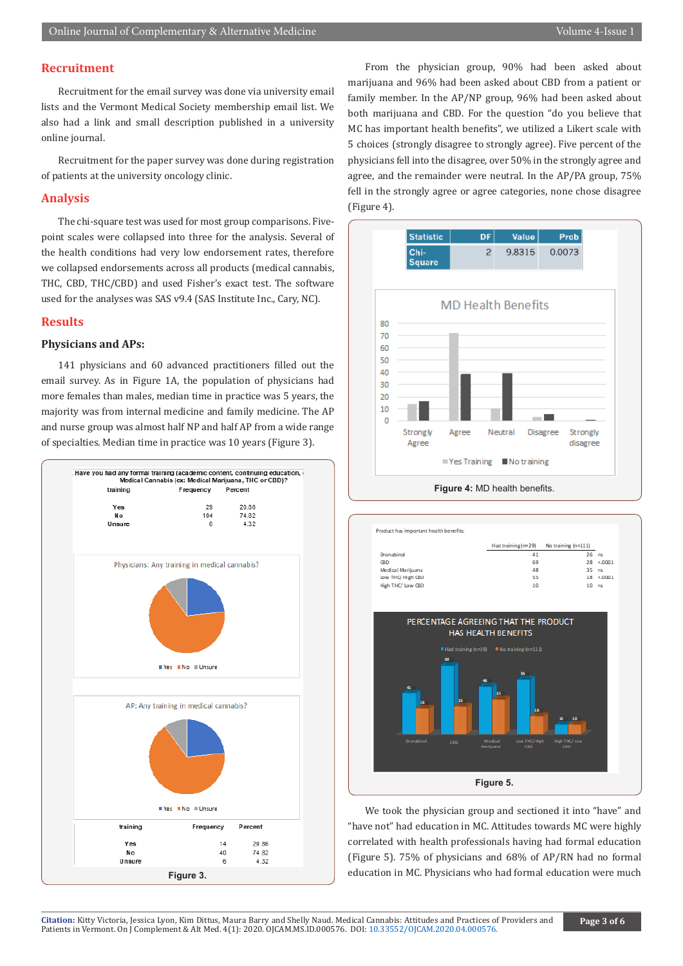# **Recruitment**

Recruitment for the email survey was done via university email lists and the Vermont Medical Society membership email list. We also had a link and small description published in a university online journal.

Recruitment for the paper survey was done during registration of patients at the university oncology clinic.

### **Analysis**

The chi-square test was used for most group comparisons. Fivepoint scales were collapsed into three for the analysis. Several of the health conditions had very low endorsement rates, therefore we collapsed endorsements across all products (medical cannabis, THC, CBD, THC/CBD) and used Fisher's exact test. The software used for the analyses was SAS v9.4 (SAS Institute Inc., Cary, NC).

## **Results**

# **Physicians and APs:**

141 physicians and 60 advanced practitioners filled out the email survey. As in Figure 1A, the population of physicians had more females than males, median time in practice was 5 years, the majority was from internal medicine and family medicine. The AP and nurse group was almost half NP and half AP from a wide range of specialties. Median time in practice was 10 years (Figure 3).



From the physician group, 90% had been asked about marijuana and 96% had been asked about CBD from a patient or family member. In the AP/NP group, 96% had been asked about both marijuana and CBD. For the question "do you believe that MC has important health benefits", we utilized a Likert scale with 5 choices (strongly disagree to strongly agree). Five percent of the physicians fell into the disagree, over 50% in the strongly agree and agree, and the remainder were neutral. In the AP/PA group, 75% fell in the strongly agree or agree categories, none chose disagree (Figure 4).





We took the physician group and sectioned it into "have" and "have not" had education in MC. Attitudes towards MC were highly correlated with health professionals having had formal education (Figure 5). 75% of physicians and 68% of AP/RN had no formal education in MC. Physicians who had formal education were much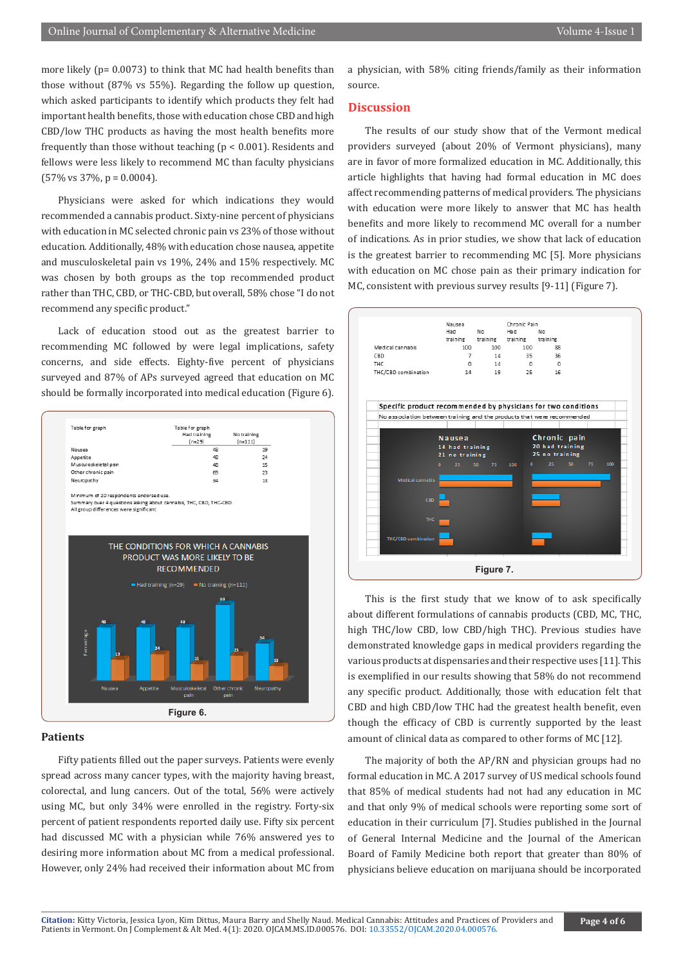more likely (p= 0.0073) to think that MC had health benefits than those without (87% vs 55%). Regarding the follow up question, which asked participants to identify which products they felt had important health benefits, those with education chose CBD and high CBD/low THC products as having the most health benefits more frequently than those without teaching ( $p < 0.001$ ). Residents and fellows were less likely to recommend MC than faculty physicians  $(57\% \text{ vs } 37\%, \text{ p} = 0.0004).$ 

Physicians were asked for which indications they would recommended a cannabis product. Sixty-nine percent of physicians with education in MC selected chronic pain vs 23% of those without education. Additionally, 48% with education chose nausea, appetite and musculoskeletal pain vs 19%, 24% and 15% respectively. MC was chosen by both groups as the top recommended product rather than THC, CBD, or THC-CBD, but overall, 58% chose "I do not recommend any specific product."

Lack of education stood out as the greatest barrier to recommending MC followed by were legal implications, safety concerns, and side effects. Eighty-five percent of physicians surveyed and 87% of APs surveyed agreed that education on MC should be formally incorporated into medical education (Figure 6).



#### **Patients**

Fifty patients filled out the paper surveys. Patients were evenly spread across many cancer types, with the majority having breast, colorectal, and lung cancers. Out of the total, 56% were actively using MC, but only 34% were enrolled in the registry. Forty-six percent of patient respondents reported daily use. Fifty six percent had discussed MC with a physician while 76% answered yes to desiring more information about MC from a medical professional. However, only 24% had received their information about MC from

a physician, with 58% citing friends/family as their information source.

# **Discussion**

The results of our study show that of the Vermont medical providers surveyed (about 20% of Vermont physicians), many are in favor of more formalized education in MC. Additionally, this article highlights that having had formal education in MC does affect recommending patterns of medical providers. The physicians with education were more likely to answer that MC has health benefits and more likely to recommend MC overall for a number of indications. As in prior studies, we show that lack of education is the greatest barrier to recommending MC [5]. More physicians with education on MC chose pain as their primary indication for MC, consistent with previous survey results [9-11] (Figure 7).



This is the first study that we know of to ask specifically about different formulations of cannabis products (CBD, MC, THC, high THC/low CBD, low CBD/high THC). Previous studies have demonstrated knowledge gaps in medical providers regarding the various products at dispensaries and their respective uses [11]. This is exemplified in our results showing that 58% do not recommend any specific product. Additionally, those with education felt that CBD and high CBD/low THC had the greatest health benefit, even though the efficacy of CBD is currently supported by the least amount of clinical data as compared to other forms of MC [12].

The majority of both the AP/RN and physician groups had no formal education in MC. A 2017 survey of US medical schools found that 85% of medical students had not had any education in MC and that only 9% of medical schools were reporting some sort of education in their curriculum [7]. Studies published in the Journal of General Internal Medicine and the Journal of the American Board of Family Medicine both report that greater than 80% of physicians believe education on marijuana should be incorporated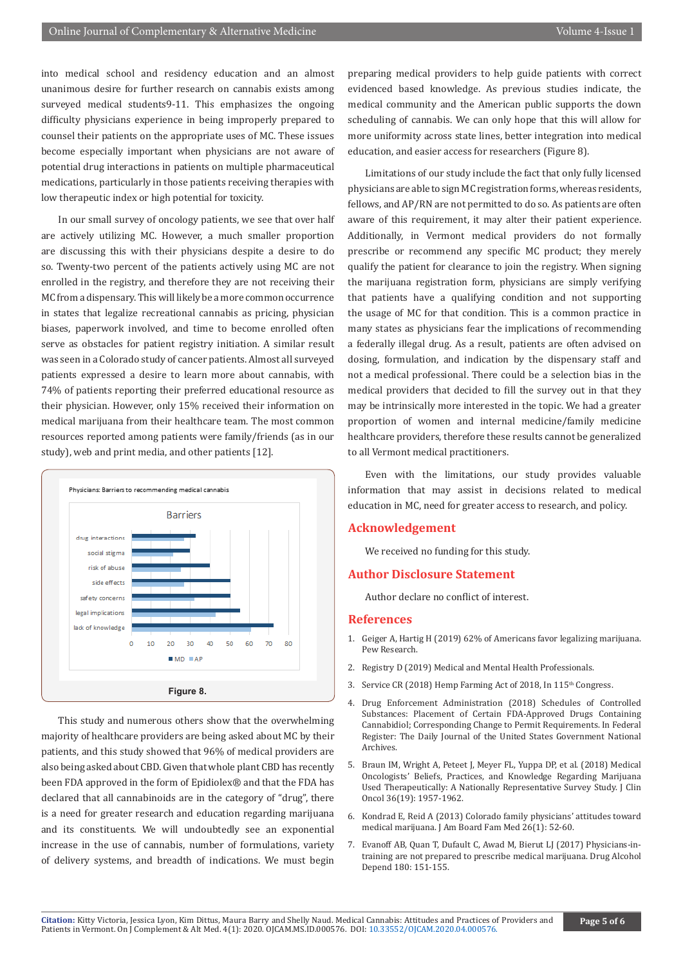into medical school and residency education and an almost unanimous desire for further research on cannabis exists among surveyed medical students9-11. This emphasizes the ongoing difficulty physicians experience in being improperly prepared to counsel their patients on the appropriate uses of MC. These issues become especially important when physicians are not aware of potential drug interactions in patients on multiple pharmaceutical medications, particularly in those patients receiving therapies with low therapeutic index or high potential for toxicity.

In our small survey of oncology patients, we see that over half are actively utilizing MC. However, a much smaller proportion are discussing this with their physicians despite a desire to do so. Twenty-two percent of the patients actively using MC are not enrolled in the registry, and therefore they are not receiving their MC from a dispensary. This will likely be a more common occurrence in states that legalize recreational cannabis as pricing, physician biases, paperwork involved, and time to become enrolled often serve as obstacles for patient registry initiation. A similar result was seen in a Colorado study of cancer patients. Almost all surveyed patients expressed a desire to learn more about cannabis, with 74% of patients reporting their preferred educational resource as their physician. However, only 15% received their information on medical marijuana from their healthcare team. The most common resources reported among patients were family/friends (as in our study), web and print media, and other patients [12].



This study and numerous others show that the overwhelming majority of healthcare providers are being asked about MC by their patients, and this study showed that 96% of medical providers are also being asked about CBD. Given that whole plant CBD has recently been FDA approved in the form of Epidiolex® and that the FDA has declared that all cannabinoids are in the category of "drug", there is a need for greater research and education regarding marijuana and its constituents. We will undoubtedly see an exponential increase in the use of cannabis, number of formulations, variety of delivery systems, and breadth of indications. We must begin

preparing medical providers to help guide patients with correct evidenced based knowledge. As previous studies indicate, the medical community and the American public supports the down scheduling of cannabis. We can only hope that this will allow for more uniformity across state lines, better integration into medical education, and easier access for researchers (Figure 8).

Limitations of our study include the fact that only fully licensed physicians are able to sign MC registration forms, whereas residents, fellows, and AP/RN are not permitted to do so. As patients are often aware of this requirement, it may alter their patient experience. Additionally, in Vermont medical providers do not formally prescribe or recommend any specific MC product; they merely qualify the patient for clearance to join the registry. When signing the marijuana registration form, physicians are simply verifying that patients have a qualifying condition and not supporting the usage of MC for that condition. This is a common practice in many states as physicians fear the implications of recommending a federally illegal drug. As a result, patients are often advised on dosing, formulation, and indication by the dispensary staff and not a medical professional. There could be a selection bias in the medical providers that decided to fill the survey out in that they may be intrinsically more interested in the topic. We had a greater proportion of women and internal medicine/family medicine healthcare providers, therefore these results cannot be generalized to all Vermont medical practitioners.

Even with the limitations, our study provides valuable information that may assist in decisions related to medical education in MC, need for greater access to research, and policy.

#### **Acknowledgement**

We received no funding for this study.

#### **Author Disclosure Statement**

Author declare no conflict of interest.

#### **References**

- 1. Geiger A, Hartig H (2019) 62% of Americans favor legalizing marijuana. Pew Research.
- 2. Registry D (2019) Medical and Mental Health Professionals.
- 3. Service CR (2018) Hemp Farming Act of 2018, In 115<sup>th</sup> Congress.
- 4. Drug Enforcement Administration (2018) Schedules of Controlled Substances: Placement of Certain FDA-Approved Drugs Containing Cannabidiol; Corresponding Change to Permit Requirements. In Federal Register: The Daily Journal of the United States Government National Archives.
- 5. [Braun IM, Wright A, Peteet J, Meyer FL, Yuppa DP, et al. \(2018\) Medical](https://www.ncbi.nlm.nih.gov/pubmed/29746226) [Oncologists' Beliefs, Practices, and Knowledge Regarding Marijuana](https://www.ncbi.nlm.nih.gov/pubmed/29746226) [Used Therapeutically: A Nationally Representative Survey Study. J Clin](https://www.ncbi.nlm.nih.gov/pubmed/29746226) [Oncol 36\(19\): 1957-1962.](https://www.ncbi.nlm.nih.gov/pubmed/29746226)
- 6. [Kondrad E, Reid A \(2013\) Colorado family physicians' attitudes toward](https://www.ncbi.nlm.nih.gov/pubmed/23288281) [medical marijuana. J Am Board Fam Med 26\(1\): 52-60.](https://www.ncbi.nlm.nih.gov/pubmed/23288281)
- 7. [Evanoff AB, Quan T, Dufault C, Awad M, Bierut LJ \(2017\) Physicians-in](https://www.ncbi.nlm.nih.gov/pubmed/28892720)[training are not prepared to prescribe medical marijuana. Drug Alcohol](https://www.ncbi.nlm.nih.gov/pubmed/28892720) [Depend 180: 151-155.](https://www.ncbi.nlm.nih.gov/pubmed/28892720)